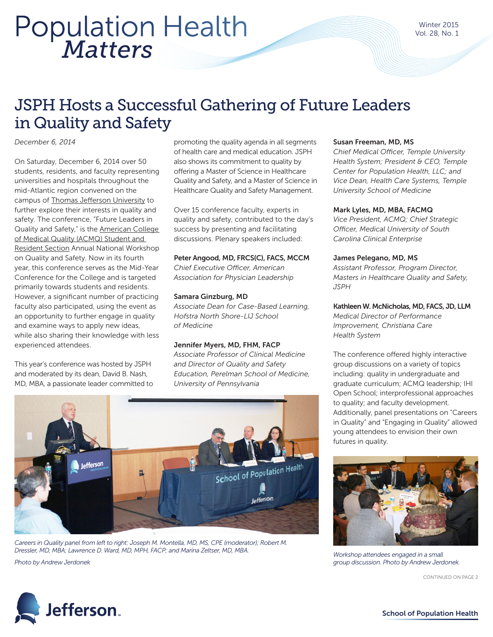## *Matters* Population Health

### JSPH Hosts a Successful Gathering of Future Leaders in Quality and Safety

*December 6, 2014* 

On Saturday, December 6, 2014 over 50 students, residents, and faculty representing universities and hospitals throughout the mid-Atlantic region convened on the campus of [Thomas Jefferson University](http://www.jefferson.edu/university.html) to further explore their interests in quality and safety. The conference, "Future Leaders in Quality and Safety," is the [American College](http://acmq.org/membership/stures.cfm)  of Medical Quality (ACMQ) Student and [Resident Section](http://acmq.org/membership/stures.cfm) Annual National Workshop on Quality and Safety. Now in its fourth year, this conference serves as the Mid-Year Conference for the College and is targeted primarily towards students and residents. However, a significant number of practicing faculty also participated, using the event as an opportunity to further engage in quality and examine ways to apply new ideas, while also sharing their knowledge with less experienced attendees.

This year's conference was hosted by JSPH and moderated by its dean, David B. Nash, MD, MBA, a passionate leader committed to

promoting the quality agenda in all segments of health care and medical education. JSPH also shows its commitment to quality by offering a Master of Science in Healthcare Quality and Safety, and a Master of Science in Healthcare Quality and Safety Management.

Over 15 conference faculty, experts in quality and safety, contributed to the day's success by presenting and facilitating discussions. Plenary speakers included:

#### Peter Angood, MD, FRCS(C), FACS, MCCM

*Chief Executive Officer, American Association for Physician Leadership*

#### Samara Ginzburg, MD

*Associate Dean for Case-Based Learning, Hofstra North Shore-LIJ School of Medicine* 

#### Jennifer Myers, MD, FHM, FACP

*Associate Professor of Clinical Medicine and Director of Quality and Safety Education, Perelman School of Medicine, University of Pennsylvania*



Careers in Quality panel from left to right: Joseph M. Montella, MD, MS, CPE (moderator); Robert M. *Dressler, MD, MBA; Lawrence D. Ward, MD, MPH, FACP; and Marina Zeltser, MD, MBA.*

*Photo by Andrew Jerdonek*



*Chief Medical Officer, Temple University Health System; President & CEO, Temple Center for Population Health, LLC; and Vice Dean, Health Care Systems, Temple University School of Medicine*

#### Mark Lyles, MD, MBA, FACMQ

*Vice President, ACMQ; Chief Strategic Officer, Medical University of South Carolina Clinical Enterprise* 

#### James Pelegano, MD, MS

*Assistant Professor, Program Director, Masters in Healthcare Quality and Safety, JSPH*

#### Kathleen W. McNicholas, MD, FACS, JD, LLM

*Medical Director of Performance Improvement, Christiana Care Health System* 

The conference offered highly interactive group discussions on a variety of topics including: quality in undergraduate and graduate curriculum; ACMQ leadership; IHI Open School; interprofessional approaches to quality; and faculty development. Additionally, panel presentations on "Careers in Quality" and "Engaging in Quality" allowed young attendees to envision their own futures in quality.



*Workshop attendees engaged in a small group discussion. Photo by Andrew Jerdonek.*

CONTINUED ON PAGE 2